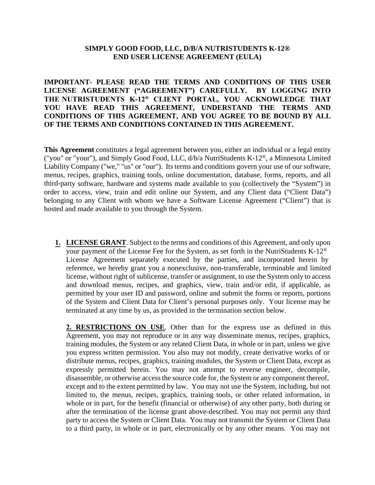## **SIMPLY GOOD FOOD, LLC, D/B/A NUTRISTUDENTS K-12® END USER LICENSE AGREEMENT (EULA)**

**IMPORTANT- PLEASE READ THE TERMS AND CONDITIONS OF THIS USER LICENSE AGREEMENT ("AGREEMENT") CAREFULLY. BY LOGGING INTO THE NUTRISTUDENTS K-12® CLIENT PORTAL, YOU ACKNOWLEDGE THAT YOU HAVE READ THIS AGREEMENT, UNDERSTAND THE TERMS AND CONDITIONS OF THIS AGREEMENT, AND YOU AGREE TO BE BOUND BY ALL OF THE TERMS AND CONDITIONS CONTAINED IN THIS AGREEMENT.** 

**This Agreement** constitutes a legal agreement between you, either an individual or a legal entity ("you" or "your"), and Simply Good Food, LLC, d/b/a NutriStudents K-12®, a Minnesota Limited Liability Company ("we," "us" or "our"). Its terms and conditions govern your use of our software, menus, recipes, graphics, training tools, online documentation, database, forms, reports, and all third-party software, hardware and systems made available to you (collectively the "System") in order to access, view, train and edit online our System, and any Client data ("Client Data") belonging to any Client with whom we have a Software License Agreement ("Client") that is hosted and made available to you through the System.

**1. LICENSE GRANT**. Subject to the terms and conditions of this Agreement, and only upon your payment of the License Fee for the System, as set forth in the NutriStudents K-12® License Agreement separately executed by the parties, and incorporated herein by reference, we hereby grant you a nonexclusive, non-transferable, terminable and limited license, without right of sublicense, transfer or assignment, to use the System only to access and download menus, recipes, and graphics, view, train and/or edit, if applicable, as permitted by your user ID and password, online and submit the forms or reports, portions of the System and Client Data for Client's personal purposes only. Your license may be terminated at any time by us, as provided in the termination section below.

**2. RESTRICTIONS ON USE**. Other than for the express use as defined in this Agreement, you may not reproduce or in any way disseminate menus, recipes, graphics, training modules, the System or any related Client Data, in whole or in part, unless we give you express written permission. You also may not modify, create derivative works of or distribute menus, recipes, graphics, training modules, the System or Client Data, except as expressly permitted herein. You may not attempt to reverse engineer, decompile, disassemble, or otherwise access the source code for, the System or any component thereof, except and to the extent permitted by law. You may not use the System, including, but not limited to, the menus, recipes, graphics, training tools, or other related information, in whole or in part, for the benefit (financial or otherwise) of any other party, both during or after the termination of the license grant above-described. You may not permit any third party to access the System or Client Data. You may not transmit the System or Client Data to a third party, in whole or in part, electronically or by any other means. You may not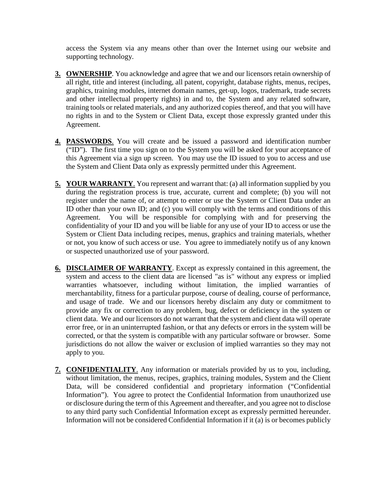access the System via any means other than over the Internet using our website and supporting technology.

- **3. OWNERSHIP**. You acknowledge and agree that we and our licensors retain ownership of all right, title and interest (including, all patent, copyright, database rights, menus, recipes, graphics, training modules, internet domain names, get-up, logos, trademark, trade secrets and other intellectual property rights) in and to, the System and any related software, training tools or related materials, and any authorized copies thereof, and that you will have no rights in and to the System or Client Data, except those expressly granted under this Agreement.
- **4. PASSWORDS**. You will create and be issued a password and identification number ("ID"). The first time you sign on to the System you will be asked for your acceptance of this Agreement via a sign up screen. You may use the ID issued to you to access and use the System and Client Data only as expressly permitted under this Agreement.
- **5. YOUR WARRANTY**. You represent and warrant that: (a) all information supplied by you during the registration process is true, accurate, current and complete; (b) you will not register under the name of, or attempt to enter or use the System or Client Data under an ID other than your own ID; and (c) you will comply with the terms and conditions of this Agreement. You will be responsible for complying with and for preserving the confidentiality of your ID and you will be liable for any use of your ID to access or use the System or Client Data including recipes, menus, graphics and training materials, whether or not, you know of such access or use. You agree to immediately notify us of any known or suspected unauthorized use of your password.
- **6. DISCLAIMER OF WARRANTY**. Except as expressly contained in this agreement, the system and access to the client data are licensed "as is" without any express or implied warranties whatsoever, including without limitation, the implied warranties of merchantability, fitness for a particular purpose, course of dealing, course of performance, and usage of trade. We and our licensors hereby disclaim any duty or commitment to provide any fix or correction to any problem, bug, defect or deficiency in the system or client data. We and our licensors do not warrant that the system and client data will operate error free, or in an uninterrupted fashion, or that any defects or errors in the system will be corrected, or that the system is compatible with any particular software or browser. Some jurisdictions do not allow the waiver or exclusion of implied warranties so they may not apply to you.
- **7. CONFIDENTIALITY**. Any information or materials provided by us to you, including, without limitation, the menus, recipes, graphics, training modules, System and the Client Data, will be considered confidential and proprietary information ("Confidential Information"). You agree to protect the Confidential Information from unauthorized use or disclosure during the term of this Agreement and thereafter, and you agree not to disclose to any third party such Confidential Information except as expressly permitted hereunder. Information will not be considered Confidential Information if it (a) is or becomes publicly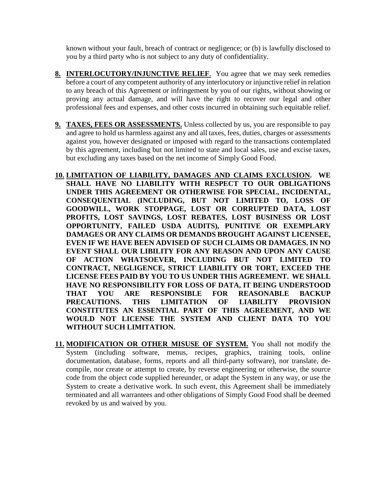known without your fault, breach of contract or negligence; or (b) is lawfully disclosed to you by a third party who is not subject to any duty of confidentiality.

- **8. INTERLOCUTORY/INJUNCTIVE RELIEF**. You agree that we may seek remedies before a court of any competent authority of any interlocutory or injunctive relief in relation to any breach of this Agreement or infringement by you of our rights, without showing or proving any actual damage, and will have the right to recover our legal and other professional fees and expenses, and other costs incurred in obtaining such equitable relief.
- **9. TAXES, FEES OR ASSESSMENTS.** Unless collected by us, you are responsible to pay and agree to hold us harmless against any and all taxes, fees, duties, charges or assessments against you, however designated or imposed with regard to the transactions contemplated by this agreement, including but not limited to state and local sales, use and excise taxes, but excluding any taxes based on the net income of Simply Good Food.
- **10. LIMITATION OF LIABILITY, DAMAGES AND CLAIMS EXCLUSION. WE SHALL HAVE NO LIABILITY WITH RESPECT TO OUR OBLIGATIONS UNDER THIS AGREEMENT OR OTHERWISE FOR SPECIAL, INCIDENTAL, CONSEQUENTIAL (INCLUDING, BUT NOT LIMITED TO, LOSS OF GOODWILL, WORK STOPPAGE, LOST OR CORRUPTED DATA, LOST PROFITS, LOST SAVINGS, LOST REBATES, LOST BUSINESS OR LOST OPPORTUNITY, FAILED USDA AUDITS), PUNITIVE OR EXEMPLARY DAMAGES OR ANY CLAIMS OR DEMANDS BROUGHT AGAINST LICENSEE, EVEN IF WE HAVE BEEN ADVISED OF SUCH CLAIMS OR DAMAGES. IN NO EVENT SHALL OUR LIBILITY FOR ANY REASON AND UPON ANY CAUSE OF ACTION WHATSOEVER, INCLUDING BUT NOT LIMITED TO CONTRACT, NEGLIGENCE, STRICT LIABILITY OR TORT, EXCEED THE LICENSE FEES PAID BY YOU TO US UNDER THIS AGREEMENT. WE SHALL HAVE NO RESPONSIBILITY FOR LOSS OF DATA, IT BEING UNDERSTOOD THAT YOU ARE RESPONSIBLE FOR REASONABLE BACKUP PRECAUTIONS. THIS LIMITATION OF LIABILITY PROVISION CONSTITUTES AN ESSENTIAL PART OF THIS AGREEMENT, AND WE WOULD NOT LICENSE THE SYSTEM AND CLIENT DATA TO YOU WITHOUT SUCH LIMITATION.**
- **11. MODIFICATION OR OTHER MISUSE OF SYSTEM.** You shall not modify the System (including software, menus, recipes, graphics, training tools, online documentation, database, forms, reports and all third-party software), nor translate, decompile, nor create or attempt to create, by reverse engineering or otherwise, the source code from the object code supplied hereunder, or adapt the System in any way, or use the System to create a derivative work. In such event, this Agreement shall be immediately terminated and all warrantees and other obligations of Simply Good Food shall be deemed revoked by us and waived by you.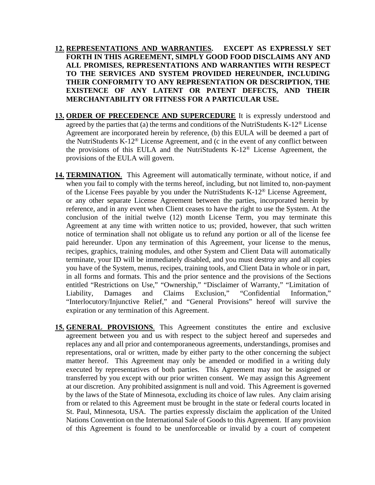- **12. REPRESENTATIONS AND WARRANTIES. EXCEPT AS EXPRESSLY SET FORTH IN THIS AGREEMENT, SIMPLY GOOD FOOD DISCLAIMS ANY AND ALL PROMISES, REPRESENTATIONS AND WARRANTIES WITH RESPECT TO THE SERVICES AND SYSTEM PROVIDED HEREUNDER, INCLUDING THEIR CONFORMITY TO ANY REPRESENTATION OR DESCRIPTION, THE EXISTENCE OF ANY LATENT OR PATENT DEFECTS, AND THEIR MERCHANTABILITY OR FITNESS FOR A PARTICULAR USE.**
- **13. ORDER OF PRECEDENCE AND SUPERCEDURE** It is expressly understood and agreed by the parties that (a) the terms and conditions of the NutriStudents  $K-12^{\circledR}$  License Agreement are incorporated herein by reference, (b) this EULA will be deemed a part of the NutriStudents K-12® License Agreement, and (c in the event of any conflict between the provisions of this EULA and the NutriStudents K-12® License Agreement, the provisions of the EULA will govern.
- **14. TERMINATION**. This Agreement will automatically terminate, without notice, if and when you fail to comply with the terms hereof, including, but not limited to, non-payment of the License Fees payable by you under the NutriStudents K-12® License Agreement, or any other separate License Agreement between the parties, incorporated herein by reference, and in any event when Client ceases to have the right to use the System. At the conclusion of the initial twelve (12) month License Term, you may terminate this Agreement at any time with written notice to us; provided, however, that such written notice of termination shall not obligate us to refund any portion or all of the license fee paid hereunder. Upon any termination of this Agreement, your license to the menus, recipes, graphics, training modules, and other System and Client Data will automatically terminate, your ID will be immediately disabled, and you must destroy any and all copies you have of the System, menus, recipes, training tools, and Client Data in whole or in part, in all forms and formats. This and the prior sentence and the provisions of the Sections entitled "Restrictions on Use," "Ownership," "Disclaimer of Warranty," "Limitation of Liability, Damages and Claims Exclusion," "Confidential Information," "Interlocutory/Injunctive Relief," and "General Provisions" hereof will survive the expiration or any termination of this Agreement.
- **15. GENERAL PROVISIONS**. This Agreement constitutes the entire and exclusive agreement between you and us with respect to the subject hereof and supersedes and replaces any and all prior and contemporaneous agreements, understandings, promises and representations, oral or written, made by either party to the other concerning the subject matter hereof. This Agreement may only be amended or modified in a writing duly executed by representatives of both parties. This Agreement may not be assigned or transferred by you except with our prior written consent. We may assign this Agreement at our discretion. Any prohibited assignment is null and void. This Agreement is governed by the laws of the State of Minnesota, excluding its choice of law rules. Any claim arising from or related to this Agreement must be brought in the state or federal courts located in St. Paul, Minnesota, USA. The parties expressly disclaim the application of the United Nations Convention on the International Sale of Goods to this Agreement. If any provision of this Agreement is found to be unenforceable or invalid by a court of competent